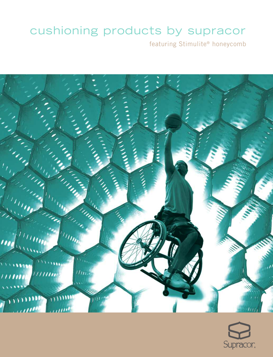# cushioning products by supracor

featuring Stimulite® honeycomb



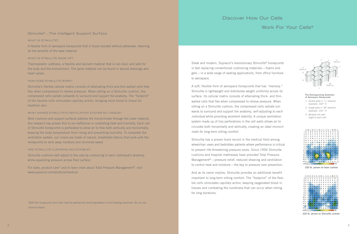### Discover How Our Cells

### Work For Your Cells®

#### Stimulite®...The Intelligent Support Surface

#### WHAT IS STIMULITE?

A flexible form of aerospace honeycomb that is fusion bonded without adhesives, retaining all the benefits of the base material.

#### WHAT IS STIMULITE MADE OF?

Thermoplastic urethane, a flexible and resilient material that is non-toxic and safe for the body and the environment. The same material can be found in wound dressings and heart valves.

#### HOW DOES STIMULITE WORK?

Stimulite's flexible cellular matrix consists of alternating thick-and thin-walled cells that flex when compressed to relieve pressure. When sitting on a Stimulite cushion, the compressed cells radiate outwards to surround and support the anatomy. The "footprint" of the flexible cells *stimulates* capillary action, bringing more blood to tissue for healthier skin.

#### WHAT MAKES STIMULITE'S VENTILATION SYSTEM SO UNIQUE?

Most cushions and support surfaces address the microclimate through the cover material. But research has proven this to be ineffective in controlling heat and humidity. Each cell of Stimulite honeycomb is perforated to allow air to flow both vertically and horizontally, keeping the body temperature from rising and preventing humidity. To complete the ventilation system, our covers are made of natural, breathable fabrics that work with the honeycomb to wick away moisture and minimize sweat.

#### ARE STIMULITE CUSHIONS ADJUSTABLE?

Stimulite cushions self-adjust to the user by contouring to each individual's anatomy while equalizing pressure across their surface.

For sizes, product care\* and to learn more about Total Pressure Management®, visit www.supracor.com/products/medical.

\**Both the honeycomb and cover may be washed and dried separately in front-loading machines. Do not use chlorine bleach.*

Sleek and modern, Supracor's revolutionary Stimulite® honeycomb is fast replacing conventional cushioning materials—foams and gels—in a wide range of seating applications, from office furniture to aerospace.

A soft, flexible form of aerospace honeycomb that has *"memory,"* Stimulite is lightweight and distributes weight uniformly across its surface. Its cellular matrix consists of alternating thick- and thinwalled cells that flex when compressed to relieve pressure. When sitting on a Stimulite cushion, the compressed cells radiate outwards to surround and support the anatomy, *self-adjusting to each individual* while providing excellent stability. A unique ventilation system made up of tiny perforations in the cell walls allows air to circulate both horizontally and vertically, creating *an ideal microclimate for long-term sitting comfort*.

Stimulite has a proven track record in the medical field among wheelchair users and bedridden patients where performance is critical to prevent life-threatening pressure sores. Since 1994 Stimulite cushions and hospital mattresses have provided Total Pressure Management®—pressure relief, reduced shearing and ventilation to control heat and moisture—the key to pressure sore prevention.

And as its name implies, Stimulite provides an additional benefit important to long-term sitting comfort. The "footprint" of the flexible cells *stimulates capillary action*, keeping oxygenated blood in tissues and combating the numbness that can occur when sitting for long durations.



#### **The Distinguishing Geometry of Aerospace Honeycomb**

- *1. Double walls in "L" direction (example: .020" T)*
- *2. Single walls in "W" direction (example: .010" T)*
- *3. Multiple cell radii (eight to each cell)*

|                          |   | $A$ $B$ |          | $c - \alpha$       | £            | <b>FGHI</b> |                          |       |         |                      | $1 - 1 - 1$ |             |                                             | <b>M. N. O.</b> |   |
|--------------------------|---|---------|----------|--------------------|--------------|-------------|--------------------------|-------|---------|----------------------|-------------|-------------|---------------------------------------------|-----------------|---|
| - 1                      | a | n       |          | $\alpha$           | $\alpha$     |             | $0\quad 0\quad 0\quad 0$ |       |         | $\mathbf{a}$         |             | $a \cdot a$ |                                             | 0 <sub>0</sub>  | ٠ |
| $\overline{\phantom{a}}$ |   |         |          | $-8$               | $\mathbf{D}$ |             | .                        |       |         | $\ddot{\phantom{0}}$ | ٠           | $\alpha$    |                                             |                 | ۰ |
| 13                       |   | ٠,      |          | $-8$               |              |             | .                        |       |         |                      | $0 - 20$    | $\alpha$    |                                             | 0.00            |   |
| ٠                        |   |         |          | $9 - 10$           |              |             |                          |       | 0 0 0 0 |                      |             |             | 0 0 0 23 0 0                                |                 |   |
| s                        |   |         | $\alpha$ |                    |              | $-$         |                          | 0 0 0 |         |                      |             |             | $0$ 25 24 22 22 0                           |                 |   |
| ĸ                        |   |         |          |                    |              |             | 22.20B                   |       | $-$ 78  |                      |             |             | 9.23.22.27.20.0                             |                 |   |
| 7                        |   |         |          | $23 - 31 - 27$     |              |             |                          |       |         |                      |             |             | 0 0 20 0 0 22 46 24 41 26 0                 |                 |   |
| (章)                      |   |         |          |                    |              |             |                          |       |         |                      |             |             | 42 35 0 35 24 37 20 26 27 25 31 42 38 25    |                 |   |
| л.                       | ٠ |         |          |                    |              |             |                          |       |         |                      |             |             | 22 42 32 23 30 38 22 25 43 42 43 43 53 37   |                 |   |
| 10                       |   |         |          |                    |              |             |                          |       |         |                      |             |             | 84 35 43 43 52 28 42 56 66 43 44 52 33      |                 |   |
| u                        |   |         |          |                    |              |             |                          |       |         |                      |             |             | 06 53 49 86 64 58 31 724 87 129 42 42 55 43 |                 |   |
| 12                       |   |         |          |                    |              |             |                          |       |         |                      |             |             | 0 35 38 38 29 30 30 30 31 32 42 43 33 23    |                 |   |
| 13                       |   |         |          |                    |              |             |                          |       |         |                      |             |             | 31 31 35 67 13:55 45 46 54 34 34 35 35 24   |                 |   |
| 14                       | ۰ |         |          | $B = 31 - 15 - 24$ |              | m.          |                          |       |         |                      |             |             | 74 34 45 37 37 37 8 21 8                    |                 |   |
| 15                       |   |         |          |                    |              |             |                          |       |         |                      |             |             | 0 0 43 44 27 0 31 22 40 0 0 0 0 0 0         |                 |   |

**220 lb. person on foam cushion**

|              |    | n            |          | n                    |              |                     |           | $42 - 14$    | ٠           |    |       |   |                |                                       | a             |
|--------------|----|--------------|----------|----------------------|--------------|---------------------|-----------|--------------|-------------|----|-------|---|----------------|---------------------------------------|---------------|
| 1            |    | à            | $\alpha$ | û                    |              | я                   | a         | o            | à           | ü  | a     | ō | $\mathbf{0}$ . | 29                                    | 0             |
| ż            |    |              |          | $\ddot{\phantom{a}}$ | ō            | a                   | a         | ۰            | B           |    |       |   | s              | o                                     | o             |
| ä            | ٠  | ٠            | 20       | n                    | $\mathbf{a}$ | $\bf{u}$            |           | $0-0$        | u           | ۰  | n     |   | - 8            | 22                                    | $\bf{0}$      |
| ۰            | ñ  | $\bf{u}$     |          | 96                   | $\alpha$     | ñ                   |           | $\alpha$     | ٠           | a, | ñ     |   | $-21 - 21$     |                                       | $\alpha$      |
| ś            | ٠  | $\mathbf{u}$ |          | 31 29                | пv           | 1999                | 33        | $\mathbf{B}$ | ù.          | o. |       |   | 27 22 28 30    |                                       | $\mathbf{a}$  |
| ¢            | ٠  |              |          | 415-410              |              | £2                  | 32.74     |              | ٠           | ٠  | 25 11 |   | $\blacksquare$ | - 10                                  | $\alpha$      |
| $\mathbf{r}$ | ٠  |              |          |                      |              | 51 24 24 1          |           |              | ۰           | ۰  |       |   | 49 42 35 36    |                                       | $\circ$       |
| u            | a  |              |          |                      |              | 33 59 40 52 35 9    |           |              |             |    |       |   |                | 0 35 33 35 45 43                      | $\mathbf{10}$ |
| 9            | ٠  |              |          |                      |              |                     |           |              |             |    |       |   |                | 46 45 50 47 48 22 37 45 42 47 38 37 3 |               |
| 10           | ٠  |              |          |                      |              |                     |           |              |             |    |       |   |                | <b>54 54 28 42 31 54 57 35 42 10</b>  |               |
| n            | ۰  |              | 52.42    |                      |              |                     |           |              |             |    |       |   |                | 88 24 42 81 20 82 35 42 44 33         |               |
| 12           | ٠  |              |          |                      |              |                     |           |              |             |    |       |   |                | 49 25 24 22 45 43 43 56 48 41         |               |
| 野            | ٠  |              |          |                      |              |                     |           |              | 12 52 40 21 |    |       |   |                | 0 45 83 85 31                         |               |
| 14           | 83 |              |          |                      |              |                     | $\bullet$ | m            | u.          |    |       |   |                | 74 34 48 KE KY 27                     |               |
| 15           |    |              |          |                      |              | <b>SE 88 115 24</b> |           | п.           |             | a  |       |   |                | 0 45 45 41 26                         |               |

**220 lb. person on Stimulite cushion**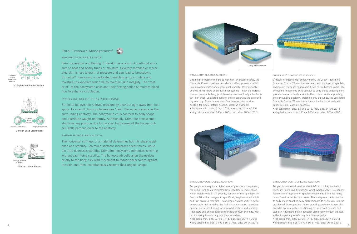## **Circulates Air and Evaporates Moisture**

**Complete Ventilation System**





**Diffuses Lateral Forces**



MACERATION RESISTANCE

Skin maceration is softening of the skin as a result of continual exposure to heat and bodily fluids or moisture. Severely softened or macerated skin is less tolerant of pressure and can lead to breakdown. Stimulite® honeycomb is perforated, enabling air to circulate and moisture to evaporate which helps maintain skin integrity. The "footprint" of the honeycomb cells and their flexing action stimulates blood flow to enhance circulation.

#### PRESSURE RELIEF PLUS POSITIONING

Stimulite honeycomb relieves pressure by distributing it away from hot spots. As a result, bony protuberances "feel" the same pressure as the surrounding anatomy. The honeycomb cells conform to body shape, and distribute weight uniformly. Additionally, Stimulite honeycomb stabilizes any position due to the axial buttressing of the honeycomb cell walls perpendicular to the anatomy.

#### SHEAR FORCE REDUCTION

The horizontal stiffness of a material determines both its shear resistance and stability. Too much stiffness increases shear forces, while too little decreases stability. Stimulite honeycomb minimizes shearing without sacrificing stability. The honeycomb cells align themselves axially to the body, flex with movement to reduce shear forces against the skin and then instantaneously resume their original shape.



#### STIMULITE® CLASSIC CUSHION

Designed for people who are at high risk for pressure sores, the Stimulite Classic cushion provides excellent pressure relief, unsurpassed comfort and exceptional stability. Weighing only 3 pounds, three layers of Stimulite honeycomb—each a different firmness—enable bony protuberances to sink freely into the 2- 3/4-inch thick, ventilated cushion while supporting the surrounding anatomy. Firmer honeycomb functions as internal side bolsters for greater lateral support. Machine washable. • flat bottom min. size: 13"w x 10"d, max. size: 24"w x 22"d • sling bottom min. size: 14"w x 16"d, max. size: 20"w x 20"d

#### STIMULITE® CLASSIC XS CUSHION

a program in the program of the program of the state of the control of the state of the control of the control

Created for people with sensitive skin, the 2-3/4-inch thick Stimulite Classic XS cushion features a soft top layer of specially engineered Stimulite honeycomb fused to two bottom layers. The compliant honeycomb cells contour to body shape enabling bony protuberances to freely sink into the cushion while supporting the surrounding anatomy. Weighing only 3 pounds, the ventilated Stimulite Classic XS cushion is the choice for individuals with sensitive skin. Machine washable.

• flat bottom min. size: 13"w x 10"d, max. size: 24"w x 22"d • sling bottom min. size: 14"w x 16"d, max. size: 20"w x 20"d



#### STIMULITE® CONTOURED CUSHION

For people who require a higher level of pressure management, the 3-1/2-inch thick ventilated Stimulite Contoured cushion, which weighs only 3-1/4 pounds, consists of multiple layers of flexible Stimulite honeycomb specifically engineered with soft and firm areas. A rear dish—featuring a "sweet spot," a softer honeycomb that contains the ischials and coccyx—provides optimal pelvic positioning for improved posture and stability. Adductors and an abductor comfortably contain the legs, without impairing transferring. Machine washable.

• flat bottom min. size: 13"w x 14"d, max. size: 22"w x 20"d • sling bottom min. size: 14"w x 16"d, max. size: 20"w x 20"d



#### STIMULITE® CONTOURED XS CUSHION

For people with sensitive skin, the 3-1/2-inch thick, ventilated Stimulite Contoured XS cushion, which weighs only 3-1/4 pounds, features a soft top layer of specially engineered Stimulite honeycomb fused to two bottom layers. The honeycomb cells contour to body shape enabling bony protuberances to freely sink into the cushion while supporting the surrounding anatomy. A rear dish provides optimal pelvic positioning for improved posture and stability. Adductors and an abductor comfortably contain the legs, without impairing transferring. Machine washable. • flat bottom min. size: 13"w x 14"d, max. size: 22"w x 20"d

• sling bottom min. size: 14"w x 16"d, max. size: 20"w x 20"d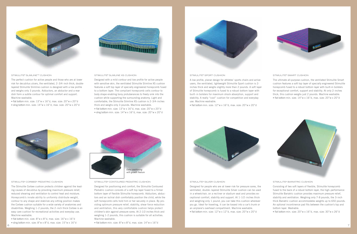



#### STIMULITE® SLIMLINE™ CUSHION

The perfect cushion for active people and those who are at lower risk for decubitus ulcers, the ventilated, 2-3/4-inch thick, doublelayered Stimulite Slimline cushion is designed with a low profile and weighs only 3 pounds. Adductors, an abductor and a rear dish form a subtle contour for optimal comfort and support. Machine washable.

• flat bottom min. size: 13"w x 16"d, max. size: 20"w x 20"d • sling bottom min. size: 14"w x 16"d, max. size: 20"w x 20"d

#### STIMULITE® SLIMLINE XS CUSHION

Designed with a mild contour and low profile for active people with sensitive skin, the ventilated Stimulite Slimline XS cushion features a soft top layer of specially engineered honeycomb fused to a bottom layer. The compliant honeycomb cells contour to body shape enabling bony protuberances to freely sink into the cushion while supporting the surrounding anatomy. Light and comfortable, the Stimulite Slimline XS cushion is 2-3/4-inches thick and weighs only 3 pounds. Machine washable. • flat bottom min. size: 13"w x 16"d, max. size: 20"w x 20"d • sling bottom min. size: 14"w x 16"d, max. size: 20"w x 20"d

#### STIMULITE® SPORT CUSHION

A low profile, planar design for athletes' sports chairs and active users, the ventilated, lightweight Stimulite Sport cushion is 2 inches thick and weighs slightly more than 2 pounds. A soft layer of Stimulite honeycomb is fused to a robust bottom layer with built-in bolsters for maximum shock absorption, support and stability. A really "cool" cushion for competition and everyday use. Machine washable.

• flat bottom min. size: 12"w x 16"d, max. size: 20"w x 20"d



#### STIMULITE® SMART CUSHION

The ultimate all-purpose cushion, the ventilated Stimulite Smart cushion features a soft top layer of specially engineered Stimulite honeycomb fused to a robust bottom layer with built-in bolsters for exceptional comfort, support and stability. At only 2-inches thick, this cushion weighs just 2 pounds. Machine washable. • flat bottom min. size: 14"w x 16"d, max. size: 20"w x 20"d



#### STIMULITE® CORBEE® PEDIATRIC CUSHION

The Stimulite Corbee cushion protects children against the leading causes of decubitus by providing maximum pressure relief, reduced shearing and ventilation to control heat and moisture. Honeycomb's innate ability to uniformly distribute weight, contour to any shape and stabilize any sitting position makes the Corbee cushion suitable for a wide variety of anatomies and disabilities. Weighing 1-2 pounds, the 2-inch thick Corbee is an easy care cushion for recreational activities and everyday use. Machine washable.

• flat bottom min. size: 8"w x 8"d, max. size: 16"w x 16"d • sling bottom min. size: 8"w x 8"d, max. size: 15"w x 16"d



#### STIMULITE® CONTOURED PEDIATRIC CUSHION

Designed for positioning and comfort, the Stimulite Contoured Pediatric cushion consists of a soft top layer fused to a firmer bottom layer of flexible Stimulite honeycomb. Adductors, abductors and an ischial dish comfortably position the child, while the soft honeycomb cells hold him or her securely in place. By providing optimum pressure relief, stability, shear force reduction and ventilation, this very comfortable cushion helps protect children's skin against pressure sores. At 2-1/2-inches thick and weighing 1-2 pounds, this cushion is suitable for all activities. Machine washable.

• flat bottom min. size: 8"w x 8"d, max. size: 14"w x 16"d



#### STIMULITE® SILVER CUSHION

Designed for people who are at lower risk for pressure sores, the ventilated, double-layered Stimulite Silver cushion can be used in a wheelchair, on a recliner or stadium seat and provides exceptional comfort, stability and support. At 1-1/2-inches thick and weighing only 1 pound, you can take this cushion wherever you go. Ideal for traveling, it can be tossed into a car's trunk or an airplane's overhead compartment. Machine washable. • flat bottom min. size: 12"w x 12"d, max. size: 20"w x 20"d



#### STIMULITE® BARIATRIC CUSHION

Consisting of two soft layers of flexible, Stimulite honeycomb fused to the back of a robust bottom layer, the high-performance Stimulite Bariatric cushion provides maximum pressure relief, stability and ventilation. Weighing only 7-8 pounds, the 3-inch thick Bariatric cushion accommodates weights up to 650 pounds. An optional incontinence pad fits between the cushion's top and bottom layer. Washable.

• flat bottom min. size: 20"w x 16"d, max. size: 30"w x 26"d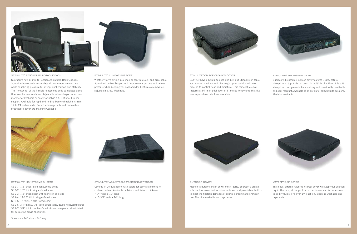

### STIMULITE® TENSION ADJUSTABLE BACK

Supracor's new Stimulite Tension Adjustable Back features Stimulite honeycomb to circulate air and evaporate moisture while equalizing pressure for exceptional comfort and stability. The "footprint" of the flexible honeycomb cells stimulates blood flow to enhance circulation. Adjustable velcro straps can accommodate for kyphosis or posterior pelvic tilt. Optional lumbar support. Available for rigid and folding frame wheelchairs from 14 to 24 inches wide. Both the honeycomb and removable, breathable cover are machine washable.



Whether you're sitting in a chair or car, this sleek and breathable Stimulite Lumbar Support will improve your posture and relieve pressure while keeping you cool and dry. Features a removable, adjustable strap. Washable.



#### STIMULITE® ON TOP CUSHION COVER

Don't yet have a Stimulite cushion? Just put Stimulite on top of your current cushion and like magic, your cushion will now breathe to control heat and moisture. This removable cover features a 3/4-inch thick layer of Stimulite honeycomb that fits over any cushion. Machine washable.



Supracor's breathable cushion cover features 100% natural sheepskin on top. Able to stretch in multiple directions, this soft sheepskin cover prevents hammocking and is naturally breathable and odor resistant. Available as an option for all Stimulite cushions. Machine washable.



#### STIMULITE® HONEYCOMB SHEETS

SBS-1: 1/2" thick, bare honeycomb sheet SBS-2: 1/2" thick, single-faced sheet SBS-3: 1/2" thick sheet with fabric on one side SBS-4: 11/16" thick, single-faced sheet SBS-5: 1" thick, single-faced sheet SBS-6: 3/4" thick & 1/4" thick, single-faced, double honeycomb panel SBS-7: 3/4" thick, double-faced, firmer honeycomb sheet; ideal for correcting pelvic obliquities



STIMULITE® ADJUSTABLE POSITIONING WEDGES

Covered in Cordura fabric with Velcro for easy attachment to cushion bottom. Available in 1-inch and 2-inch thickness. • 14" wide x 10" long

• 15-3/4" wide x 10" long



#### OUTDOOR COVER

Made of a durable, black power mesh fabric, Supracor's breathable outdoor cover features side vents and a slip-resistant bottom to meet the rigorous demands of sports, camping and everyday use. Machine washable and dryer safe.

#### WATERPROOF COVER

This slick, stretch nylon waterproof cover will keep your cushion dry in the rain, at the pool or in the shower and is impervious to bodily fluids. Fits over any cushion. Machine washable and dryer safe.

Sheets are 24" wide x 24" long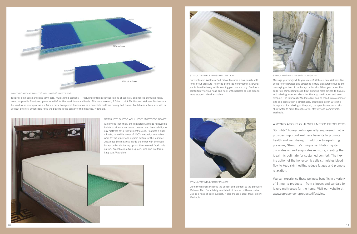

#### MULTI-ZONED STIMULITE® WELLNESS® MATTRESS

Ideal for both acute and long-term care, multi-zoned sections — featuring different configurations of specially engineered Stimulite honeycomb — provide fine-tuned pressure relief for the head, torso and heels. This non-powered, 2.5-inch thick Multi-zoned Wellness Mattress can be used as an overlay or with a 4-inch thick honeycomb foundation as a complete mattress on any bed frame. Available in a twin size with or without bolsters, which help keep the patient in the center of the mattress. Washable.



STIMULITE® ON TOP WELLNESS® MATTRESS COVER

At only one inch-thick, the ventilated Stimulite honeycomb inside provides unsurpassed comfort and breathability to any mattress for a restful night's sleep. Features a dualclimate, reversible cover of 100% natural, stretchable wool for the winter and organic cotton for the summer. Just place the mattress inside the cover with the open honeycomb cells facing up and the seasonal fabric side on top. Available in a twin, queen, king and California king size. Washable.





STIMULITE® WELLNESS® BED PILLOW

Our ventilated Wellness Bed Pillow features a luxuriously soft form of our pressure-relieving Stimulite honeycomb, allowing you to breathe freely while keeping you cool and dry. Conforms comfortably to your head and neck with bolsters on one side for more support. Hand washable.



STIMULITE® WELLNESS® PILLOW

Our new Wellness Pillow is the perfect complement to the Stimulite Wellness Mat. Completely ventilated, it has two different sides. Use as a head or back support. It also makes a great travel pillow! Washable.



STIMULITE® WELLNESS® LOUNGE MAT

Massage your body while you stretch! With our new Wellness Mat, doing floor exercises and stretches is truly pleasurable due to the massaging action of the honeycomb cells. When you move, the cells flex, stimulating blood flow, bringing more oxygen to tissues and relaxing muscles. Great for therapy, meditation and even sleeping. The lightweight Wellness Mat can be rolled into a compact size and comes with a stretchable, breathable cover. A terrific lounge mat for relaxing at the pool, the open honeycomb cells allow water to drain through so you stay dry and comfortable. Washable.

#### A WORD ABOUT OUR WELLNESS® PRODUCTS

Stimulite® honeycomb's specially engineered matrix provides important wellness benefits to promote health and well-being. In addition to equalizing pressure, Stimulite's unique ventilation system circulates air and evaporates moisture, creating the ideal microclimate for sustained comfort. The flexing action of the honeycomb cells stimulates blood flow to keep skin healthy, reduce fatigue and promote relaxation.

You can experience these wellness benefits in a variety of Stimulite products—from slippers and sandals to luxury mattresses for the home. Visit our website at www.supracor.com/products/lifestyles.